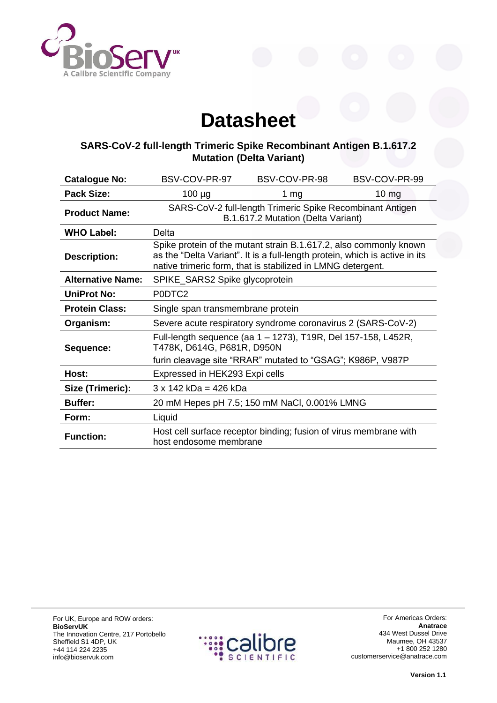

## **Datasheet**

## **SARS-CoV-2 full-length Trimeric Spike Recombinant Antigen B.1.617.2 Mutation (Delta Variant)**

| <b>Catalogue No:</b>     | BSV-COV-PR-97                                                                                                                                                                                                   | BSV-COV-PR-98                                                     | BSV-COV-PR-99   |
|--------------------------|-----------------------------------------------------------------------------------------------------------------------------------------------------------------------------------------------------------------|-------------------------------------------------------------------|-----------------|
| Pack Size:               | $100 \mu g$                                                                                                                                                                                                     | 1 $mg$                                                            | $10 \text{ mg}$ |
| <b>Product Name:</b>     | SARS-CoV-2 full-length Trimeric Spike Recombinant Antigen<br>B.1.617.2 Mutation (Delta Variant)                                                                                                                 |                                                                   |                 |
| <b>WHO Label:</b>        | Delta                                                                                                                                                                                                           |                                                                   |                 |
| <b>Description:</b>      | Spike protein of the mutant strain B.1.617.2, also commonly known<br>as the "Delta Variant". It is a full-length protein, which is active in its<br>native trimeric form, that is stabilized in LMNG detergent. |                                                                   |                 |
| <b>Alternative Name:</b> | SPIKE_SARS2 Spike glycoprotein                                                                                                                                                                                  |                                                                   |                 |
| <b>UniProt No:</b>       | P0DTC2                                                                                                                                                                                                          |                                                                   |                 |
| <b>Protein Class:</b>    | Single span transmembrane protein                                                                                                                                                                               |                                                                   |                 |
| Organism:                | Severe acute respiratory syndrome coronavirus 2 (SARS-CoV-2)                                                                                                                                                    |                                                                   |                 |
| Sequence:                | Full-length sequence (aa 1 – 1273), T19R, Del 157-158, L452R,<br>T478K, D614G, P681R, D950N                                                                                                                     |                                                                   |                 |
|                          | furin cleavage site "RRAR" mutated to "GSAG"; K986P, V987P                                                                                                                                                      |                                                                   |                 |
| Host:                    | Expressed in HEK293 Expi cells                                                                                                                                                                                  |                                                                   |                 |
| Size (Trimeric):         | $3 \times 142$ kDa = 426 kDa                                                                                                                                                                                    |                                                                   |                 |
| <b>Buffer:</b>           | 20 mM Hepes pH 7.5; 150 mM NaCl, 0.001% LMNG                                                                                                                                                                    |                                                                   |                 |
| Form:                    | Liquid                                                                                                                                                                                                          |                                                                   |                 |
| <b>Function:</b>         | host endosome membrane                                                                                                                                                                                          | Host cell surface receptor binding; fusion of virus membrane with |                 |